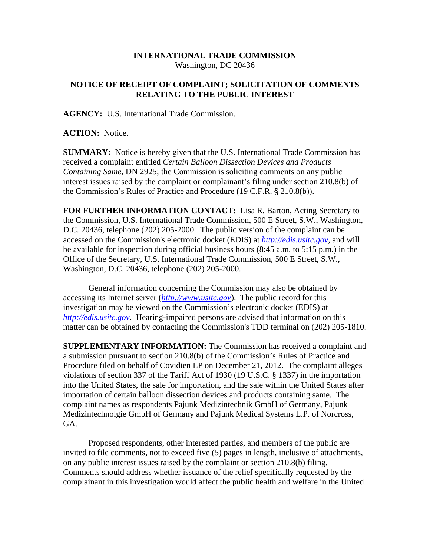## **INTERNATIONAL TRADE COMMISSION**  Washington, DC 20436

## **NOTICE OF RECEIPT OF COMPLAINT; SOLICITATION OF COMMENTS RELATING TO THE PUBLIC INTEREST**

**AGENCY:** U.S. International Trade Commission.

**ACTION:** Notice.

**SUMMARY:** Notice is hereby given that the U.S. International Trade Commission has received a complaint entitled *Certain Balloon Dissection Devices and Products Containing Same,* DN 2925; the Commission is soliciting comments on any public interest issues raised by the complaint or complainant's filing under section 210.8(b) of the Commission's Rules of Practice and Procedure (19 C.F.R. § 210.8(b)).

**FOR FURTHER INFORMATION CONTACT:** Lisa R. Barton, Acting Secretary to the Commission, U.S. International Trade Commission, 500 E Street, S.W., Washington, D.C. 20436, telephone (202) 205-2000. The public version of the complaint can be accessed on the Commission's electronic docket (EDIS) at *http://edis.usitc.gov*, and will be available for inspection during official business hours (8:45 a.m. to 5:15 p.m.) in the Office of the Secretary, U.S. International Trade Commission, 500 E Street, S.W., Washington, D.C. 20436, telephone (202) 205-2000.

General information concerning the Commission may also be obtained by accessing its Internet server (*http://www.usitc.gov*). The public record for this investigation may be viewed on the Commission's electronic docket (EDIS) at *http://edis.usitc.gov.* Hearing-impaired persons are advised that information on this matter can be obtained by contacting the Commission's TDD terminal on (202) 205-1810.

**SUPPLEMENTARY INFORMATION:** The Commission has received a complaint and a submission pursuant to section 210.8(b) of the Commission's Rules of Practice and Procedure filed on behalf of Covidien LP on December 21, 2012. The complaint alleges violations of section 337 of the Tariff Act of 1930 (19 U.S.C. § 1337) in the importation into the United States, the sale for importation, and the sale within the United States after importation of certain balloon dissection devices and products containing same. The complaint names as respondents Pajunk Medizintechnik GmbH of Germany, Pajunk Medizintechnolgie GmbH of Germany and Pajunk Medical Systems L.P. of Norcross, GA.

Proposed respondents, other interested parties, and members of the public are invited to file comments, not to exceed five (5) pages in length, inclusive of attachments, on any public interest issues raised by the complaint or section 210.8(b) filing. Comments should address whether issuance of the relief specifically requested by the complainant in this investigation would affect the public health and welfare in the United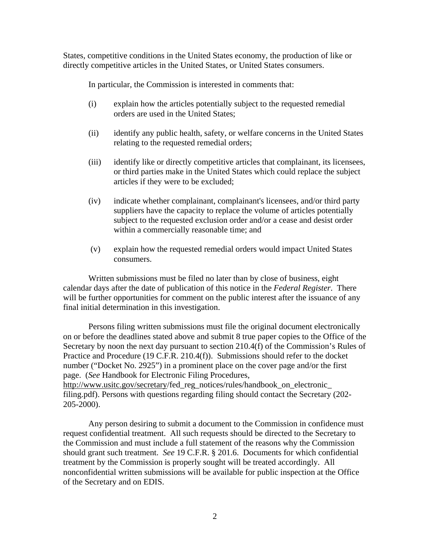States, competitive conditions in the United States economy, the production of like or directly competitive articles in the United States, or United States consumers.

In particular, the Commission is interested in comments that:

- (i) explain how the articles potentially subject to the requested remedial orders are used in the United States;
- (ii) identify any public health, safety, or welfare concerns in the United States relating to the requested remedial orders;
- (iii) identify like or directly competitive articles that complainant, its licensees, or third parties make in the United States which could replace the subject articles if they were to be excluded;
- (iv) indicate whether complainant, complainant's licensees, and/or third party suppliers have the capacity to replace the volume of articles potentially subject to the requested exclusion order and/or a cease and desist order within a commercially reasonable time; and
- (v) explain how the requested remedial orders would impact United States consumers.

Written submissions must be filed no later than by close of business, eight calendar days after the date of publication of this notice in the *Federal Register*. There will be further opportunities for comment on the public interest after the issuance of any final initial determination in this investigation.

Persons filing written submissions must file the original document electronically on or before the deadlines stated above and submit 8 true paper copies to the Office of the Secretary by noon the next day pursuant to section 210.4(f) of the Commission's Rules of Practice and Procedure (19 C.F.R. 210.4(f)). Submissions should refer to the docket number ("Docket No. 2925") in a prominent place on the cover page and/or the first page. (*See* Handbook for Electronic Filing Procedures, http://www.usitc.gov/secretary/fed\_reg\_notices/rules/handbook\_on\_electronic\_ filing.pdf). Persons with questions regarding filing should contact the Secretary (202-

205-2000).

Any person desiring to submit a document to the Commission in confidence must request confidential treatment. All such requests should be directed to the Secretary to the Commission and must include a full statement of the reasons why the Commission should grant such treatment. *See* 19 C.F.R. § 201.6. Documents for which confidential treatment by the Commission is properly sought will be treated accordingly. All nonconfidential written submissions will be available for public inspection at the Office of the Secretary and on EDIS.